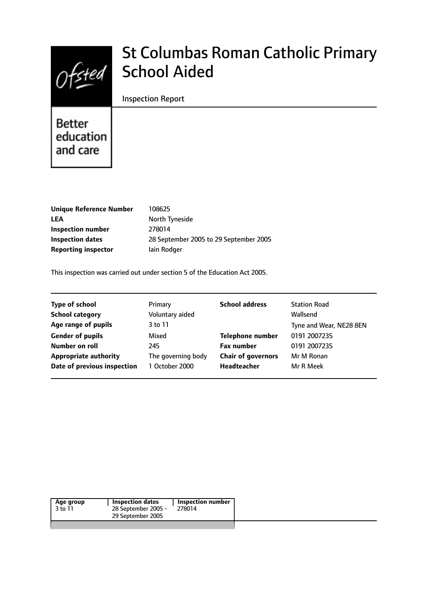

# St Columbas Roman Catholic Primary School Aided

### Inspection Report

Better education and care

| 108625                                 |
|----------------------------------------|
| North Tyneside                         |
| 278014                                 |
| 28 September 2005 to 29 September 2005 |
| lain Rodger                            |
|                                        |

This inspection was carried out under section 5 of the Education Act 2005.

| <b>Type of school</b>        | Primary            | <b>School address</b>     | <b>Station Road</b>     |
|------------------------------|--------------------|---------------------------|-------------------------|
| <b>School category</b>       | Voluntary aided    |                           | Wallsend                |
| Age range of pupils          | 3 to 11            |                           | Tyne and Wear, NE28 8EN |
| <b>Gender of pupils</b>      | Mixed              | <b>Telephone number</b>   | 0191 2007235            |
| Number on roll               | 245                | <b>Fax number</b>         | 0191 2007235            |
| <b>Appropriate authority</b> | The governing body | <b>Chair of governors</b> | Mr M Ronan              |
| Date of previous inspection  | 1 October 2000     | Headteacher               | Mr R Meek               |
|                              |                    |                           |                         |

| Age group<br>3 to 11 | Inspection dates<br>28 September 2005 -<br>29 September 2005 | <b>Inspection number</b><br>278014 |
|----------------------|--------------------------------------------------------------|------------------------------------|
|                      |                                                              |                                    |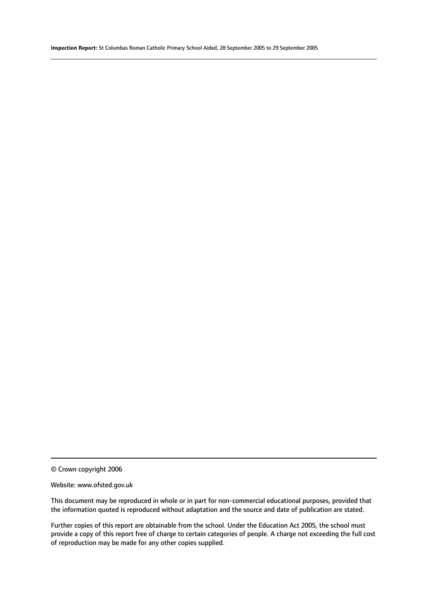© Crown copyright 2006

#### Website: www.ofsted.gov.uk

This document may be reproduced in whole or in part for non-commercial educational purposes, provided that the information quoted is reproduced without adaptation and the source and date of publication are stated.

Further copies of this report are obtainable from the school. Under the Education Act 2005, the school must provide a copy of this report free of charge to certain categories of people. A charge not exceeding the full cost of reproduction may be made for any other copies supplied.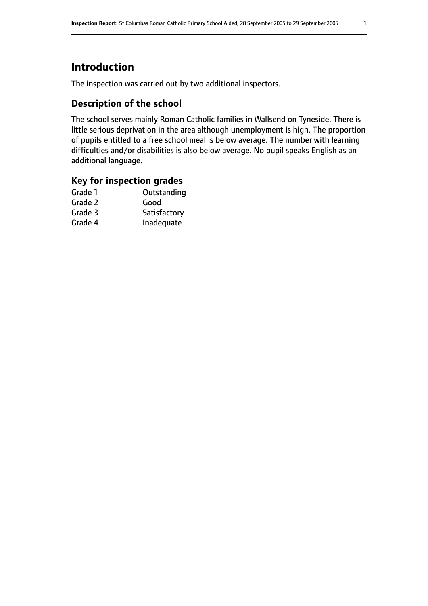# **Introduction**

The inspection was carried out by two additional inspectors.

# **Description of the school**

The school serves mainly Roman Catholic families in Wallsend on Tyneside. There is little serious deprivation in the area although unemployment is high. The proportion of pupils entitled to a free school meal is below average. The number with learning difficulties and/or disabilities is also below average. No pupil speaks English as an additional language.

## **Key for inspection grades**

| Good         |
|--------------|
|              |
| Satisfactory |
| Inadequate   |
|              |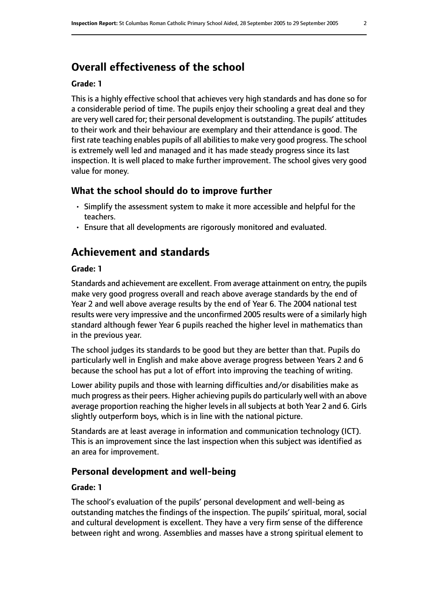# **Overall effectiveness of the school**

#### **Grade: 1**

This is a highly effective school that achieves very high standards and has done so for a considerable period of time. The pupils enjoy their schooling a great deal and they are very well cared for; their personal development is outstanding. The pupils' attitudes to their work and their behaviour are exemplary and their attendance is good. The first rate teaching enables pupils of all abilities to make very good progress. The school is extremely well led and managed and it has made steady progress since its last inspection. It is well placed to make further improvement. The school gives very good value for money.

### **What the school should do to improve further**

- Simplify the assessment system to make it more accessible and helpful for the teachers.
- Ensure that all developments are rigorously monitored and evaluated.

# **Achievement and standards**

#### **Grade: 1**

Standards and achievement are excellent. From average attainment on entry, the pupils make very good progress overall and reach above average standards by the end of Year 2 and well above average results by the end of Year 6. The 2004 national test results were very impressive and the unconfirmed 2005 results were of a similarly high standard although fewer Year 6 pupils reached the higher level in mathematics than in the previous year.

The school judges its standards to be good but they are better than that. Pupils do particularly well in English and make above average progress between Years 2 and 6 because the school has put a lot of effort into improving the teaching of writing.

Lower ability pupils and those with learning difficulties and/or disabilities make as much progress astheir peers. Higher achieving pupils do particularly well with an above average proportion reaching the higher levels in all subjects at both Year 2 and 6. Girls slightly outperform boys, which is in line with the national picture.

Standards are at least average in information and communication technology (ICT). This is an improvement since the last inspection when this subject was identified as an area for improvement.

#### **Personal development and well-being**

#### **Grade: 1**

The school's evaluation of the pupils' personal development and well-being as outstanding matches the findings of the inspection. The pupils' spiritual, moral, social and cultural development is excellent. They have a very firm sense of the difference between right and wrong. Assemblies and masses have a strong spiritual element to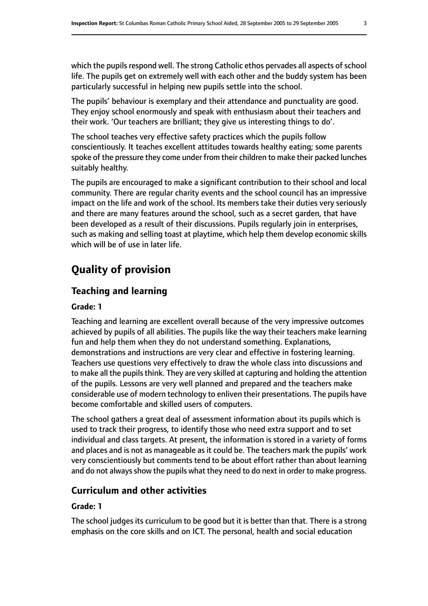which the pupils respond well. The strong Catholic ethos pervades all aspects of school life. The pupils get on extremely well with each other and the buddy system has been particularly successful in helping new pupils settle into the school.

The pupils' behaviour is exemplary and their attendance and punctuality are good. They enjoy school enormously and speak with enthusiasm about their teachers and their work. 'Our teachers are brilliant; they give us interesting things to do'.

The school teaches very effective safety practices which the pupils follow conscientiously. It teaches excellent attitudes towards healthy eating; some parents spoke of the pressure they come under from their children to make their packed lunches suitably healthy.

The pupils are encouraged to make a significant contribution to their school and local community. There are regular charity events and the school council has an impressive impact on the life and work of the school. Its members take their duties very seriously and there are many features around the school, such as a secret garden, that have been developed as a result of their discussions. Pupils regularly join in enterprises, such as making and selling toast at playtime, which help them develop economic skills which will be of use in later life.

# **Quality of provision**

### **Teaching and learning**

#### **Grade: 1**

Teaching and learning are excellent overall because of the very impressive outcomes achieved by pupils of all abilities. The pupils like the way their teachers make learning fun and help them when they do not understand something. Explanations, demonstrations and instructions are very clear and effective in fostering learning. Teachers use questions very effectively to draw the whole class into discussions and to make all the pupils think. They are very skilled at capturing and holding the attention of the pupils. Lessons are very well planned and prepared and the teachers make considerable use of modern technology to enliven their presentations. The pupils have become comfortable and skilled users of computers.

The school gathers a great deal of assessment information about its pupils which is used to track their progress, to identify those who need extra support and to set individual and class targets. At present, the information is stored in a variety of forms and places and is not as manageable as it could be. The teachers mark the pupils' work very conscientiously but comments tend to be about effort rather than about learning and do not always show the pupils what they need to do next in order to make progress.

### **Curriculum and other activities**

#### **Grade: 1**

The school judges its curriculum to be good but it is better than that. There is a strong emphasis on the core skills and on ICT. The personal, health and social education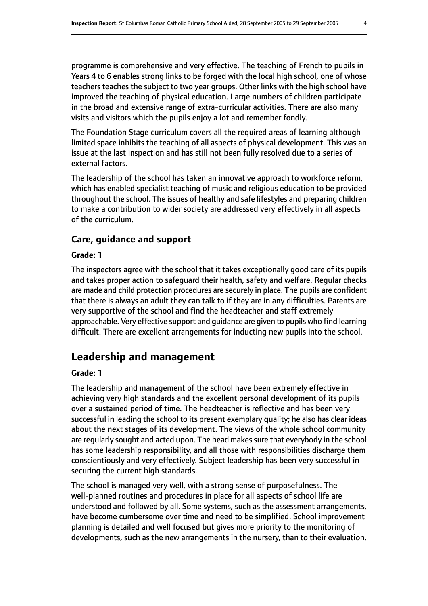programme is comprehensive and very effective. The teaching of French to pupils in Years 4 to 6 enables strong links to be forged with the local high school, one of whose teachers teaches the subject to two year groups. Other links with the high school have improved the teaching of physical education. Large numbers of children participate in the broad and extensive range of extra-curricular activities. There are also many visits and visitors which the pupils enjoy a lot and remember fondly.

The Foundation Stage curriculum covers all the required areas of learning although limited space inhibits the teaching of all aspects of physical development. This was an issue at the last inspection and has still not been fully resolved due to a series of external factors.

The leadership of the school has taken an innovative approach to workforce reform, which has enabled specialist teaching of music and religious education to be provided throughout the school. The issues of healthy and safe lifestyles and preparing children to make a contribution to wider society are addressed very effectively in all aspects of the curriculum.

### **Care, guidance and support**

#### **Grade: 1**

The inspectors agree with the school that it takes exceptionally good care of its pupils and takes proper action to safeguard their health, safety and welfare. Regular checks are made and child protection procedures are securely in place. The pupils are confident that there is always an adult they can talk to if they are in any difficulties. Parents are very supportive of the school and find the headteacher and staff extremely approachable. Very effective support and guidance are given to pupils who find learning difficult. There are excellent arrangements for inducting new pupils into the school.

# **Leadership and management**

#### **Grade: 1**

The leadership and management of the school have been extremely effective in achieving very high standards and the excellent personal development of its pupils over a sustained period of time. The headteacher is reflective and has been very successful in leading the school to its present exemplary quality; he also has clear ideas about the next stages of its development. The views of the whole school community are regularly sought and acted upon. The head makes sure that everybody in the school has some leadership responsibility, and all those with responsibilities discharge them conscientiously and very effectively. Subject leadership has been very successful in securing the current high standards.

The school is managed very well, with a strong sense of purposefulness. The well-planned routines and procedures in place for all aspects of school life are understood and followed by all. Some systems, such as the assessment arrangements, have become cumbersome over time and need to be simplified. School improvement planning is detailed and well focused but gives more priority to the monitoring of developments, such as the new arrangements in the nursery, than to their evaluation.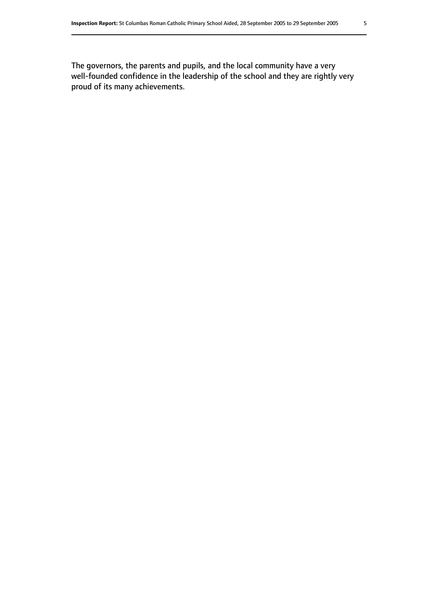The governors, the parents and pupils, and the local community have a very well-founded confidence in the leadership of the school and they are rightly very proud of its many achievements.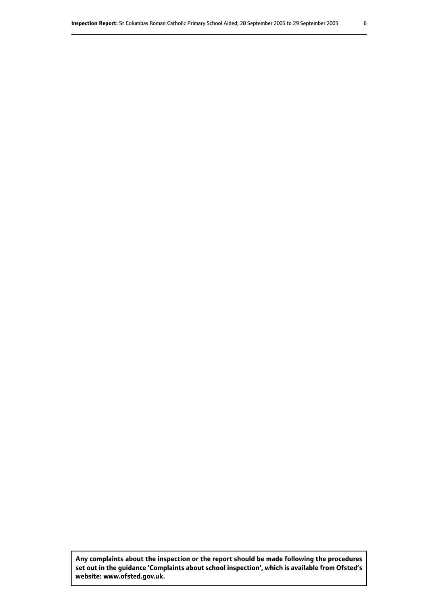**Any complaints about the inspection or the report should be made following the procedures set out inthe guidance 'Complaints about school inspection', whichis available from Ofsted's website: www.ofsted.gov.uk.**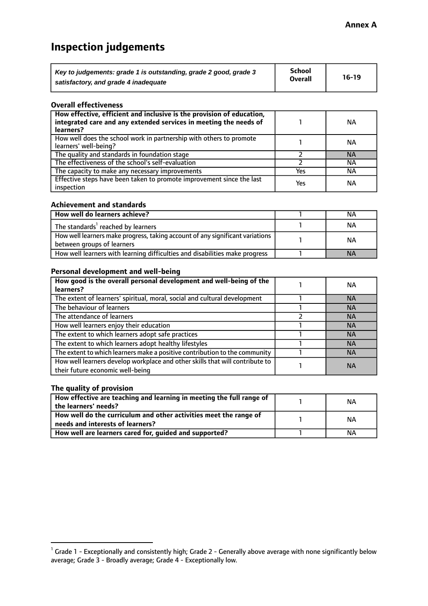# **Inspection judgements**

| Key to judgements: grade 1 is outstanding, grade 2 good, grade 3 | School<br><b>Overall</b> | $16-19$ |
|------------------------------------------------------------------|--------------------------|---------|
| satisfactory, and grade 4 inadequate                             |                          |         |

#### **Overall effectiveness**

| How effective, efficient and inclusive is the provision of education,<br>integrated care and any extended services in meeting the needs of<br>learners? |     | NА        |
|---------------------------------------------------------------------------------------------------------------------------------------------------------|-----|-----------|
| How well does the school work in partnership with others to promote<br>learners' well-being?                                                            |     | NА        |
| The quality and standards in foundation stage                                                                                                           |     | <b>NA</b> |
| The effectiveness of the school's self-evaluation                                                                                                       |     | ΝA        |
| The capacity to make any necessary improvements                                                                                                         | Yes | NА        |
| Effective steps have been taken to promote improvement since the last<br>inspection                                                                     | Yes | ΝA        |

#### **Achievement and standards**

| How well do learners achieve?                                                                               | NА        |
|-------------------------------------------------------------------------------------------------------------|-----------|
| The standards <sup>1</sup> reached by learners                                                              | NА        |
| How well learners make progress, taking account of any significant variations<br>between groups of learners | <b>NA</b> |
| How well learners with learning difficulties and disabilities make progress                                 | <b>NA</b> |

#### **Personal development and well-being**

| How good is the overall personal development and well-being of the<br>learners?                                  | ΝA        |
|------------------------------------------------------------------------------------------------------------------|-----------|
| The extent of learners' spiritual, moral, social and cultural development                                        | <b>NA</b> |
| The behaviour of learners                                                                                        | <b>NA</b> |
| The attendance of learners                                                                                       | <b>NA</b> |
| How well learners enjoy their education                                                                          | <b>NA</b> |
| The extent to which learners adopt safe practices                                                                | <b>NA</b> |
| The extent to which learners adopt healthy lifestyles                                                            | <b>NA</b> |
| The extent to which learners make a positive contribution to the community                                       | <b>NA</b> |
| How well learners develop workplace and other skills that will contribute to<br>their future economic well-being | <b>NA</b> |

### **The quality of provision**

| How effective are teaching and learning in meeting the full range of<br>the learners' needs?          | ΝA |
|-------------------------------------------------------------------------------------------------------|----|
| How well do the curriculum and other activities meet the range of<br>needs and interests of learners? | ΝA |
| How well are learners cared for, guided and supported?                                                | NА |

 $^1$  Grade 1 - Exceptionally and consistently high; Grade 2 - Generally above average with none significantly below average; Grade 3 - Broadly average; Grade 4 - Exceptionally low.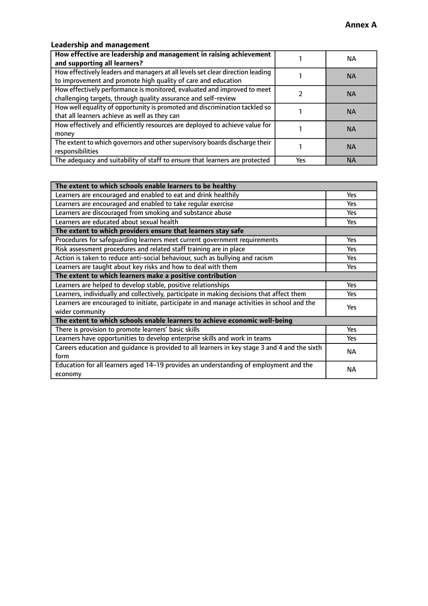# **Leadership and management**

| How effective are leadership and management in raising achievement<br>and supporting all learners?                                              |     | NA.       |
|-------------------------------------------------------------------------------------------------------------------------------------------------|-----|-----------|
| How effectively leaders and managers at all levels set clear direction leading<br>to improvement and promote high quality of care and education |     | <b>NA</b> |
| How effectively performance is monitored, evaluated and improved to meet<br>challenging targets, through quality assurance and self-review      |     | <b>NA</b> |
| How well equality of opportunity is promoted and discrimination tackled so<br>that all learners achieve as well as they can                     |     | <b>NA</b> |
| How effectively and efficiently resources are deployed to achieve value for<br>money                                                            |     | <b>NA</b> |
| The extent to which governors and other supervisory boards discharge their<br>responsibilities                                                  |     | <b>NA</b> |
| The adequacy and suitability of staff to ensure that learners are protected                                                                     | Yes | <b>NA</b> |

| The extent to which schools enable learners to be healthy                                     |            |  |
|-----------------------------------------------------------------------------------------------|------------|--|
| Learners are encouraged and enabled to eat and drink healthily                                | Yes        |  |
| Learners are encouraged and enabled to take regular exercise                                  | <b>Yes</b> |  |
| Learners are discouraged from smoking and substance abuse                                     | Yes        |  |
| Learners are educated about sexual health                                                     | Yes        |  |
| The extent to which providers ensure that learners stay safe                                  |            |  |
| Procedures for safequarding learners meet current government requirements                     | Yes        |  |
| Risk assessment procedures and related staff training are in place                            | Yes        |  |
| Action is taken to reduce anti-social behaviour, such as bullying and racism                  | <b>Yes</b> |  |
| Learners are taught about key risks and how to deal with them                                 | Yes        |  |
| The extent to which learners make a positive contribution                                     |            |  |
| Learners are helped to develop stable, positive relationships                                 | Yes        |  |
| Learners, individually and collectively, participate in making decisions that affect them     | Yes        |  |
| Learners are encouraged to initiate, participate in and manage activities in school and the   | <b>Yes</b> |  |
| wider community                                                                               |            |  |
| The extent to which schools enable learners to achieve economic well-being                    |            |  |
| There is provision to promote learners' basic skills                                          | Yes        |  |
| Learners have opportunities to develop enterprise skills and work in teams                    | Yes        |  |
| Careers education and quidance is provided to all learners in key stage 3 and 4 and the sixth | <b>NA</b>  |  |
| form                                                                                          |            |  |
| Education for all learners aged 14-19 provides an understanding of employment and the         | <b>NA</b>  |  |
| economy                                                                                       |            |  |